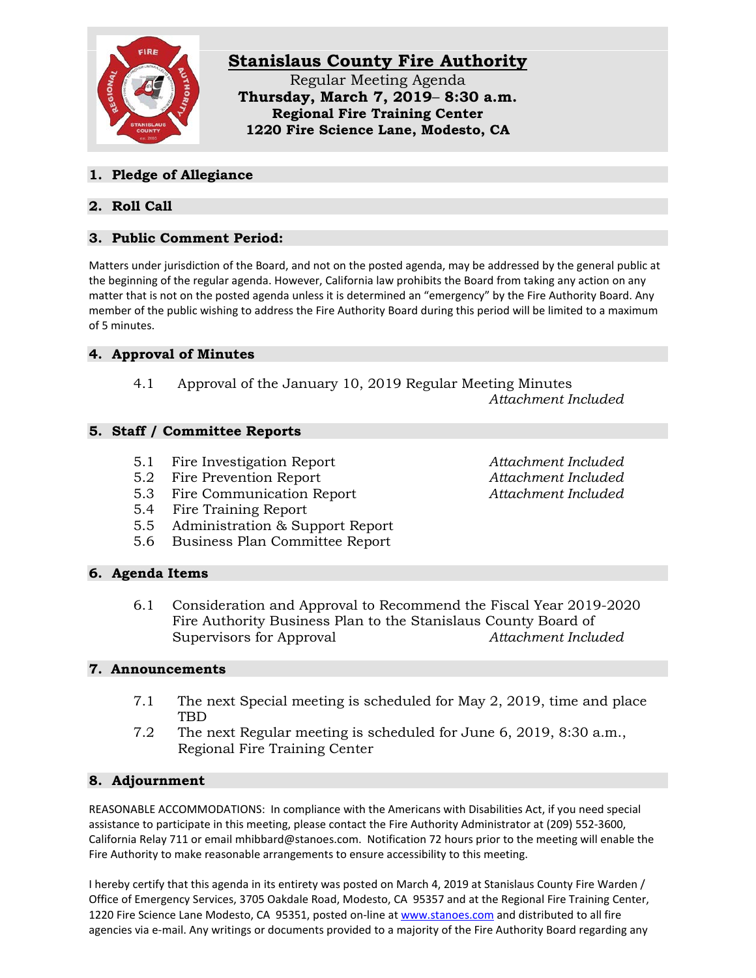

### **1. Pledge of Allegiance**

# **2. Roll Call**

# **3. Public Comment Period:**

Matters under jurisdiction of the Board, and not on the posted agenda, may be addressed by the general public at the beginning of the regular agenda. However, California law prohibits the Board from taking any action on any matter that is not on the posted agenda unless it is determined an "emergency" by the Fire Authority Board. Any member of the public wishing to address the Fire Authority Board during this period will be limited to a maximum of 5 minutes.

## **4. Approval of Minutes**

4.1 Approval of the January 10, 2019 Regular Meeting Minutes *Attachment Included*

### **5. Staff / Committee Reports**

- 5.1 Fire Investigation Report *Attachment Included*
- 5.2 Fire Prevention Report *Attachment Included*
- 5.3 Fire Communication Report *Attachment Included*
- 5.4 Fire Training Report
- 5.5 Administration & Support Report
- 5.6 Business Plan Committee Report

#### **6. Agenda Items**

6.1 Consideration and Approval to Recommend the Fiscal Year 2019-2020 Fire Authority Business Plan to the Stanislaus County Board of Supervisors for Approval *Attachment Included*

#### **7. Announcements**

- 7.1 The next Special meeting is scheduled for May 2, 2019, time and place TBD
- 7.2 The next Regular meeting is scheduled for June 6, 2019, 8:30 a.m., Regional Fire Training Center

## **8. Adjournment**

REASONABLE ACCOMMODATIONS: In compliance with the Americans with Disabilities Act, if you need special assistance to participate in this meeting, please contact the Fire Authority Administrator at (209) 552-3600, California Relay 711 or email mhibbard@stanoes.com. Notification 72 hours prior to the meeting will enable the Fire Authority to make reasonable arrangements to ensure accessibility to this meeting.

I hereby certify that this agenda in its entirety was posted on March 4, 2019 at Stanislaus County Fire Warden / Office of Emergency Services, 3705 Oakdale Road, Modesto, CA 95357 and at the Regional Fire Training Center, 1220 Fire Science Lane Modesto, CA 95351, posted on-line at [www.stanoes.com](http://www.stanoes.com/) and distributed to all fire agencies via e-mail. Any writings or documents provided to a majority of the Fire Authority Board regarding any